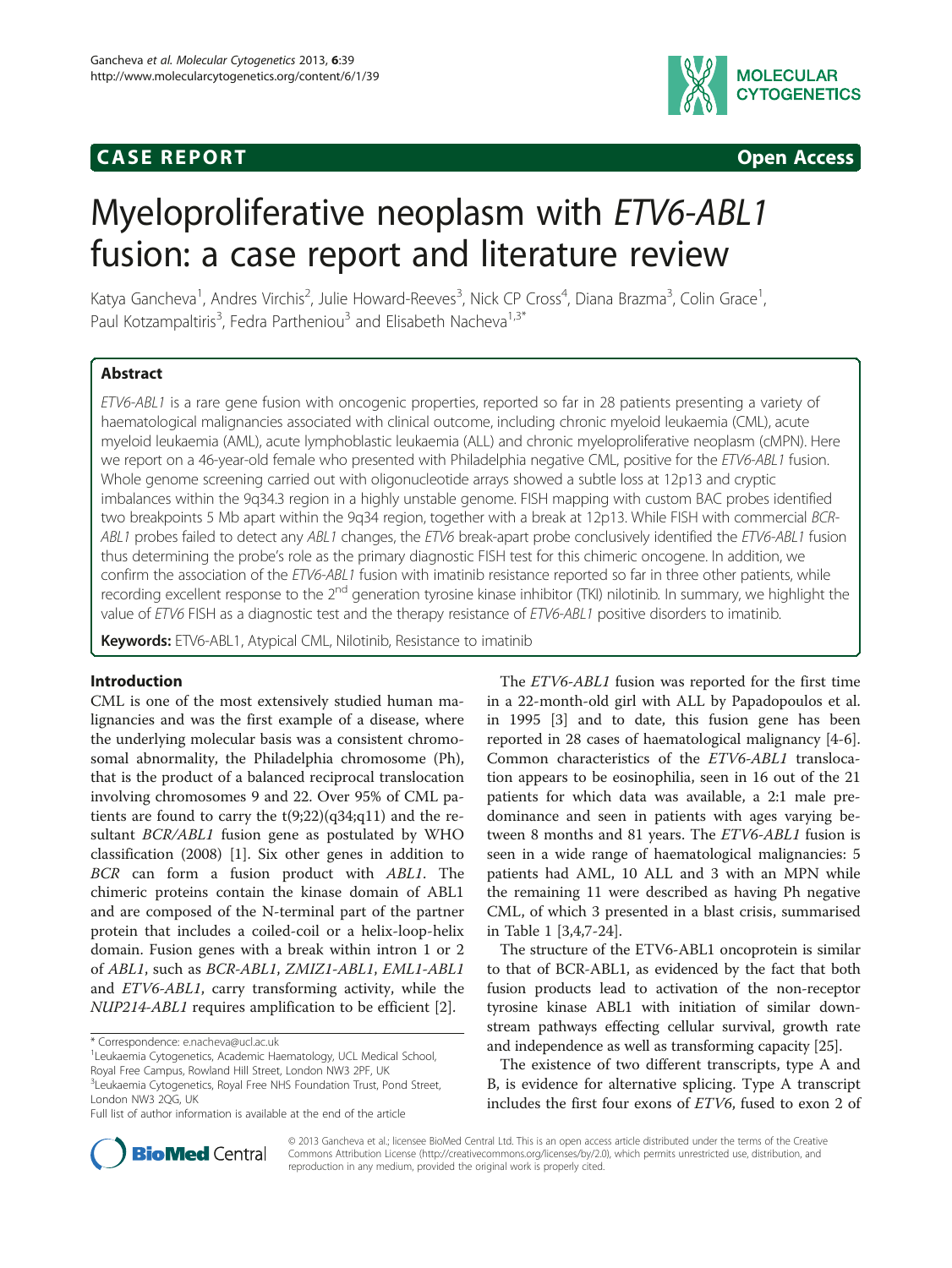## **CASE REPORT CASE REPORT**



# Myeloproliferative neoplasm with ETV6-ABL1 fusion: a case report and literature review

Katya Gancheva<sup>1</sup>, Andres Virchis<sup>2</sup>, Julie Howard-Reeves<sup>3</sup>, Nick CP Cross<sup>4</sup>, Diana Brazma<sup>3</sup>, Colin Grace<sup>1</sup> , Paul Kotzampaltiris<sup>3</sup>, Fedra Partheniou<sup>3</sup> and Elisabeth Nacheva<sup>1,3\*</sup>

## Abstract

ETV6-ABL1 is a rare gene fusion with oncogenic properties, reported so far in 28 patients presenting a variety of haematological malignancies associated with clinical outcome, including chronic myeloid leukaemia (CML), acute myeloid leukaemia (AML), acute lymphoblastic leukaemia (ALL) and chronic myeloproliferative neoplasm (cMPN). Here we report on a 46-year-old female who presented with Philadelphia negative CML, positive for the ETV6-ABL1 fusion. Whole genome screening carried out with oligonucleotide arrays showed a subtle loss at 12p13 and cryptic imbalances within the 9q34.3 region in a highly unstable genome. FISH mapping with custom BAC probes identified two breakpoints 5 Mb apart within the 9q34 region, together with a break at 12p13. While FISH with commercial BCR-ABL1 probes failed to detect any ABL1 changes, the ETV6 break-apart probe conclusively identified the ETV6-ABL1 fusion thus determining the probe's role as the primary diagnostic FISH test for this chimeric oncogene. In addition, we confirm the association of the ETV6-ABL1 fusion with imatinib resistance reported so far in three other patients, while recording excellent response to the 2<sup>nd</sup> generation tyrosine kinase inhibitor (TKI) nilotinib. In summary, we highlight the value of ETV6 FISH as a diagnostic test and the therapy resistance of ETV6-ABL1 positive disorders to imatinib.

Keywords: ETV6-ABL1, Atypical CML, Nilotinib, Resistance to imatinib

#### Introduction

CML is one of the most extensively studied human malignancies and was the first example of a disease, where the underlying molecular basis was a consistent chromosomal abnormality, the Philadelphia chromosome (Ph), that is the product of a balanced reciprocal translocation involving chromosomes 9 and 22. Over 95% of CML patients are found to carry the  $t(9;22)(q34;q11)$  and the resultant BCR/ABL1 fusion gene as postulated by WHO classification (2008) [[1\]](#page-8-0). Six other genes in addition to BCR can form a fusion product with ABL1. The chimeric proteins contain the kinase domain of ABL1 and are composed of the N-terminal part of the partner protein that includes a coiled-coil or a helix-loop-helix domain. Fusion genes with a break within intron 1 or 2 of ABL1, such as BCR-ABL1, ZMIZ1-ABL1, EML1-ABL1 and ETV6-ABL1, carry transforming activity, while the NUP214-ABL1 requires amplification to be efficient [\[2\]](#page-8-0).

The ETV6-ABL1 fusion was reported for the first time in a 22-month-old girl with ALL by Papadopoulos et al. in 1995 [[3\]](#page-8-0) and to date, this fusion gene has been reported in 28 cases of haematological malignancy [[4-6](#page-8-0)]. Common characteristics of the ETV6-ABL1 translocation appears to be eosinophilia, seen in 16 out of the 21 patients for which data was available, a 2:1 male predominance and seen in patients with ages varying between 8 months and 81 years. The ETV6-ABL1 fusion is seen in a wide range of haematological malignancies: 5 patients had AML, 10 ALL and 3 with an MPN while the remaining 11 were described as having Ph negative CML, of which 3 presented in a blast crisis, summarised in Table [1](#page-1-0) [[3,4,7-24](#page-8-0)].

The structure of the ETV6-ABL1 oncoprotein is similar to that of BCR-ABL1, as evidenced by the fact that both fusion products lead to activation of the non-receptor tyrosine kinase ABL1 with initiation of similar downstream pathways effecting cellular survival, growth rate and independence as well as transforming capacity [\[25\]](#page-8-0).

The existence of two different transcripts, type A and B, is evidence for alternative splicing. Type A transcript includes the first four exons of ETV6, fused to exon 2 of



© 2013 Gancheva et al.; licensee BioMed Central Ltd. This is an open access article distributed under the terms of the Creative Commons Attribution License [\(http://creativecommons.org/licenses/by/2.0\)](http://creativecommons.org/licenses/by/2.0), which permits unrestricted use, distribution, and reproduction in any medium, provided the original work is properly cited.

<sup>\*</sup> Correspondence: [e.nacheva@ucl.ac.uk](mailto:e.nacheva@ucl.ac.uk) <sup>1</sup>

<sup>&</sup>lt;sup>1</sup> Leukaemia Cytogenetics, Academic Haematology, UCL Medical School, Royal Free Campus, Rowland Hill Street, London NW3 2PF, UK

<sup>&</sup>lt;sup>3</sup>Leukaemia Cytogenetics, Royal Free NHS Foundation Trust, Pond Street,

London NW3 2QG, UK

Full list of author information is available at the end of the article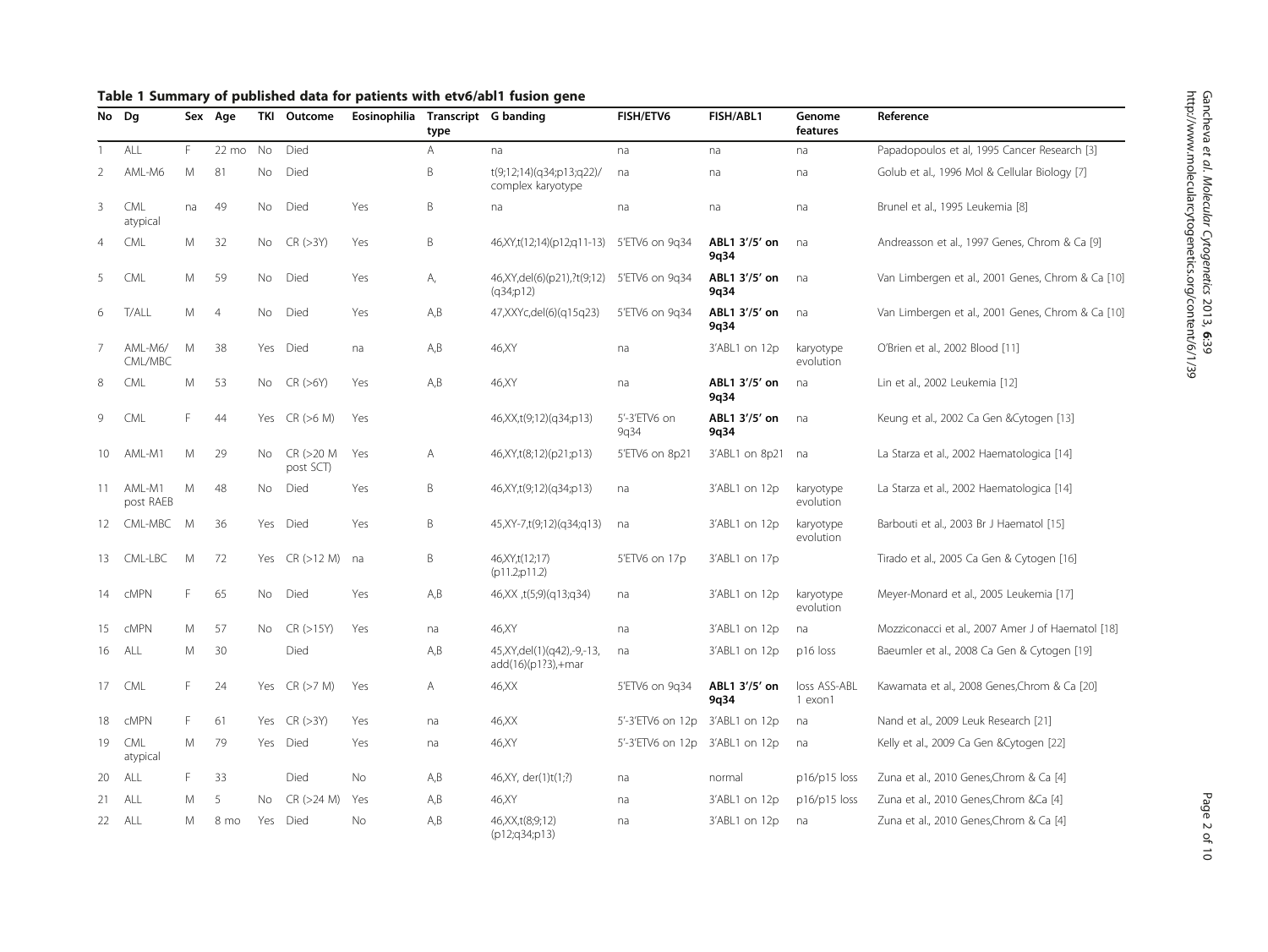<span id="page-1-0"></span>

|--|

| No                | Dg                     |    | Sex Age         |           | <b>TKI Outcome</b>     | Eosinophilia Transcript G banding | type |                                                           | FISH/ETV6                      | FISH/ABL1             | Genome<br>features      | Reference                                         |
|-------------------|------------------------|----|-----------------|-----------|------------------------|-----------------------------------|------|-----------------------------------------------------------|--------------------------------|-----------------------|-------------------------|---------------------------------------------------|
|                   | ALL                    | F. | $22 \text{ mo}$ | <b>No</b> | Died                   |                                   | A    | na                                                        | na                             | na                    | na                      | Papadopoulos et al, 1995 Cancer Research [3]      |
| 2                 | AML-M6                 | M  | 81              | No        | Died                   |                                   | B    | t(9;12;14)(q34;p13;q22)/<br>complex karyotype             | na                             | na                    | na                      | Golub et al., 1996 Mol & Cellular Biology [7]     |
| 3                 | <b>CML</b><br>atypical | na | 49              | No        | Died                   | Yes                               | B    | na                                                        | na                             | na                    | na                      | Brunel et al., 1995 Leukemia [8]                  |
| 4                 | <b>CML</b>             | М  | 32              | No        | $CR$ ( $>3Y$ )         | Yes                               | B    | 46, XY, t(12; 14) (p12; q11-13) 5'ETV6 on 9q34            |                                | ABL1 3'/5' on<br>9q34 | na                      | Andreasson et al., 1997 Genes, Chrom & Ca [9]     |
| 5                 | <b>CML</b>             | M  | 59              | No        | Died                   | Yes                               | А,   | 46, XY, del(6)(p21), ?t(9;12) 5'ETV6 on 9q34<br>(q34;p12) |                                | ABL1 3'/5' on<br>9q34 | na                      | Van Limbergen et al., 2001 Genes, Chrom & Ca [10] |
| 6                 | T/ALL                  | M  | $\overline{4}$  | No        | Died                   | Yes                               | A,B  | 47, XXYc, del(6) (q15q23)                                 | 5'ETV6 on 9q34                 | ABL1 3'/5' on<br>9q34 | na                      | Van Limbergen et al., 2001 Genes, Chrom & Ca [10] |
| 7                 | AML-M6/<br>CML/MBC     | M  | 38              | Yes       | Died                   | na                                | A,B  | 46, XY                                                    | na                             | 3'ABL1 on 12p         | karyotype<br>evolution  | O'Brien et al., 2002 Blood [11]                   |
| 8                 | <b>CML</b>             | M  | 53              | No        | $CR$ ( $>6$ Y)         | Yes                               | A,B  | 46, XY                                                    | na                             | ABL1 3'/5' on<br>9q34 | na                      | Lin et al., 2002 Leukemia [12]                    |
| 9                 | <b>CML</b>             | F  | 44              | Yes       | $CR$ ( $>6$ M)         | Yes                               |      | 46, XX, t(9; 12) (q34; p13)                               | 5'-3'ETV6 on<br>9q34           | ABL1 3'/5' on<br>9q34 | na                      | Keung et al., 2002 Ca Gen & Cytogen [13]          |
| 10                | AML-M1                 | M  | 29              | No.       | CR (>20 M<br>post SCT) | Yes                               | А    | 46, XY, t(8; 12) (p21; p13)                               | 5'ETV6 on 8p21                 | 3'ABL1 on 8p21 na     |                         | La Starza et al., 2002 Haematologica [14]         |
| 11                | AML-M1<br>post RAEB    | M  | 48              | <b>No</b> | Died                   | Yes                               | Β    | 46, XY, t(9; 12) (q34; p13)                               | na                             | 3'ABL1 on 12p         | karyotype<br>evolution  | La Starza et al., 2002 Haematologica [14]         |
| $12 \overline{ }$ | CML-MBC                | M  | 36              | Yes       | Died                   | Yes                               | B    | 45, XY-7, t(9; 12) (q34; q 13)                            | na                             | 3'ABL1 on 12p         | karyotype<br>evolution  | Barbouti et al., 2003 Br J Haematol [15]          |
| 13                | CML-LBC                | M  | 72              | Yes       | CR (>12 M)             | na                                | Β    | 46, XY, t(12; 17)<br>(p11.2p11.2)                         | 5'ETV6 on 17p                  | 3'ABL1 on 17p         |                         | Tirado et al., 2005 Ca Gen & Cytogen [16]         |
| 14                | <b>CMPN</b>            | F  | 65              | No        | Died                   | Yes                               | A,B  | 46, XX , t(5; 9) (q13; q34)                               | na                             | 3'ABL1 on 12p         | karyotype<br>evolution  | Meyer-Monard et al., 2005 Leukemia [17]           |
| 15                | <b>CMPN</b>            | M  | 57              | No.       | CR (>15Y)              | Yes                               | na   | 46.XY                                                     | na                             | 3'ABL1 on 12p         | na                      | Mozziconacci et al., 2007 Amer J of Haematol [18] |
| 16                | ALL                    | M  | 30              |           | Died                   |                                   | A,B  | 45, XY, del(1)(q42), -9, -13,<br>add(16)(p1?3),+mar       | na                             | 3'ABL1 on 12p         | p16 loss                | Baeumler et al., 2008 Ca Gen & Cytogen [19]       |
| 17                | <b>CML</b>             | F  | 24              | Yes       | $CR$ ( $>7$ M)         | Yes                               | Α    | 46, XX                                                    | 5'ETV6 on 9q34                 | ABL1 3'/5' on<br>9q34 | loss ASS-ABL<br>1 exon1 | Kawamata et al., 2008 Genes, Chrom & Ca [20]      |
| 18                | <b>CMPN</b>            | F  | 61              |           | Yes $CR$ $(>3)$        | Yes                               | na   | 46, XX                                                    | 5'-3'ETV6 on 12p               | 3'ABL1 on 12p         | na                      | Nand et al., 2009 Leuk Research [21]              |
| 19                | <b>CML</b><br>atypical | M  | 79              |           | Yes Died               | Yes                               | na   | 46.XY                                                     | 5'-3'ETV6 on 12p 3'ABL1 on 12p |                       | na                      | Kelly et al., 2009 Ca Gen & Cytogen [22]          |
| 20                | ALL                    | F. | 33              |           | Died                   | <b>No</b>                         | A,B  | 46, XY, der(1)t(1;?)                                      | na                             | normal                | p16/p15 loss            | Zuna et al., 2010 Genes, Chrom & Ca [4]           |
| 21                | ALL                    | M  | 5               | No        | $CR$ ( $>24$ M)        | Yes                               | A,B  | 46, XY                                                    | na                             | 3'ABL1 on 12p         | p16/p15 loss            | Zuna et al., 2010 Genes, Chrom & Ca [4]           |
| 22                | ALL                    | M  | 8 mo            |           | Yes Died               | No                                | A,B  | 46, XX, t(8; 9; 12)<br>(p12; q34; p13)                    | na                             | 3'ABL1 on 12p         | na                      | Zuna et al., 2010 Genes, Chrom & Ca [4]           |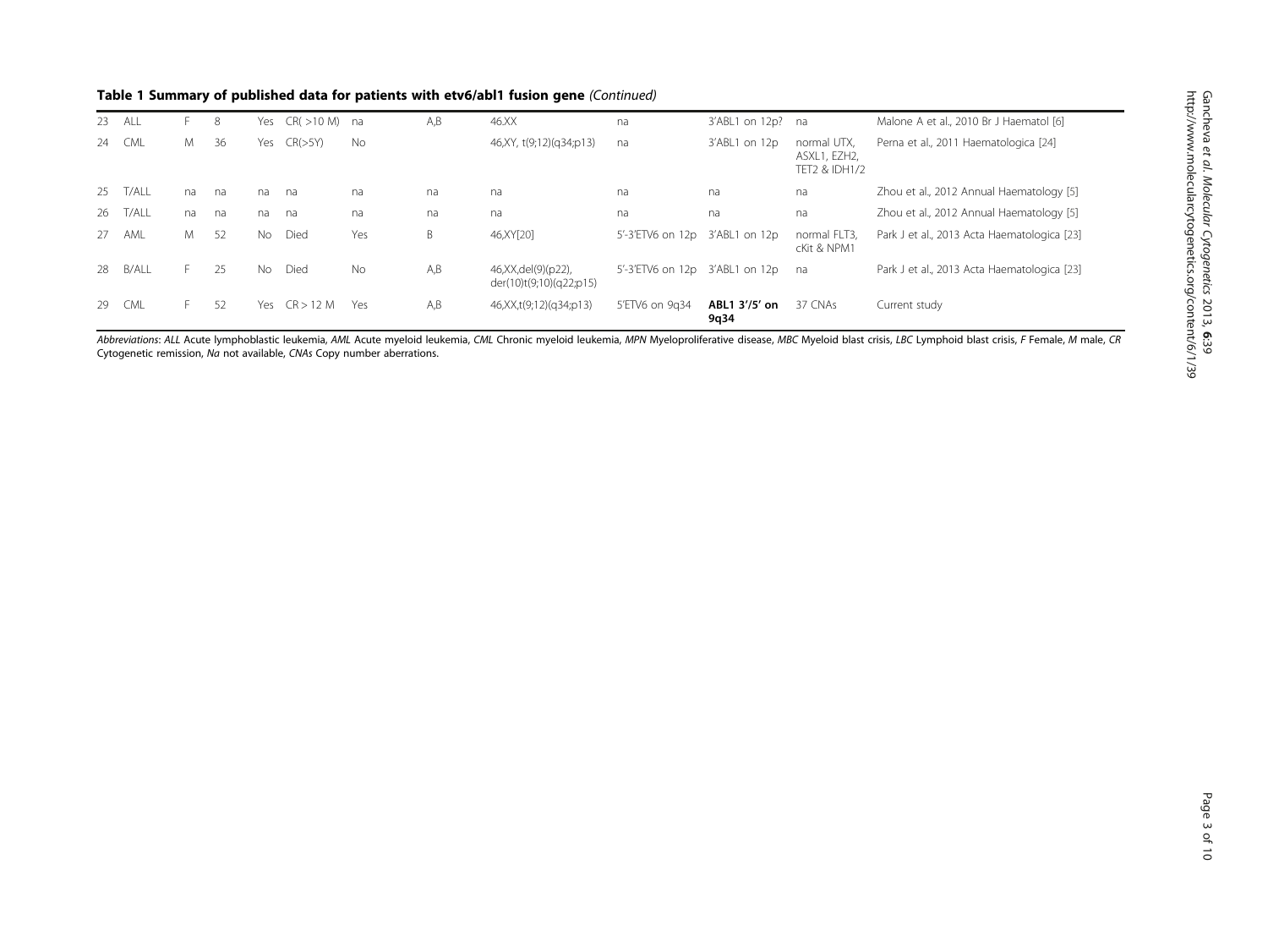|  | Table 1 Summary of published data for patients with etv6/abl1 fusion gene (Continued) |  |  |  |  |  |  |  |  |
|--|---------------------------------------------------------------------------------------|--|--|--|--|--|--|--|--|
|--|---------------------------------------------------------------------------------------|--|--|--|--|--|--|--|--|

|    | 23 ALL       |    | 8  | Yes       | $CR( > 10 M)$ na |           | A,B | 46.XX                                             | na                             | 3'ABL1 on 12p? na     |                                                         | Malone A et al., 2010 Br J Haematol [6]     |
|----|--------------|----|----|-----------|------------------|-----------|-----|---------------------------------------------------|--------------------------------|-----------------------|---------------------------------------------------------|---------------------------------------------|
| 24 | <b>CML</b>   | M  | 36 | Yes       | CR(>5Y)          | No        |     | 46, XY, t(9; 12) (q34; p13)                       | na                             | 3'ABL1 on 12p         | normal UTX.<br>ASXL1, EZH2,<br><b>TET2 &amp; IDH1/2</b> | Perna et al., 2011 Haematologica [24]       |
| 25 | T/ALL        | na | na | na        | na.              | na        | na  | na                                                | na                             | na                    | na                                                      | Zhou et al., 2012 Annual Haematology [5]    |
| 26 | T/ALL        | na | na | na.       | na               | na        | na  | na                                                | na                             | na                    | na                                                      | Zhou et al., 2012 Annual Haematology [5]    |
| 27 | AML          | M  | 52 | <b>No</b> | Died             | Yes       | B   | 46, XY [20]                                       | 5'-3'ETV6 on 12p 3'ABL1 on 12p |                       | normal FLT3.<br>cKit & NPM1                             | Park J et al., 2013 Acta Haematologica [23] |
| 28 | <b>B/ALL</b> | F. | 25 | No.       | Died             | <b>No</b> | A,B | 46, XX, del (9) (p22),<br>der(10)t(9;10)(q22;p15) | 5'-3'ETV6 on 12p 3'ABL1 on 12p |                       | na                                                      | Park J et al., 2013 Acta Haematologica [23] |
| 29 | CML          |    | 52 | Yes       | $CR > 12$ M      | Yes       | A,B | 46, XX, t(9; 12) (q34; p13)                       | 5'ETV6 on 9q34                 | ABL1 3'/5' on<br>9q34 | 37 CNAs                                                 | Current study                               |

Abbreviations: ALL Acute lymphoblastic leukemia, AML Acute myeloid leukemia, CML Chronic myeloid leukemia, MPN Myeloproliferative disease, MBC Myeloid blast crisis, LBC Lymphoid blast crisis, F Female, M male, CR Cytogenetic remission, Na not available, CNAs Copy number aberrations.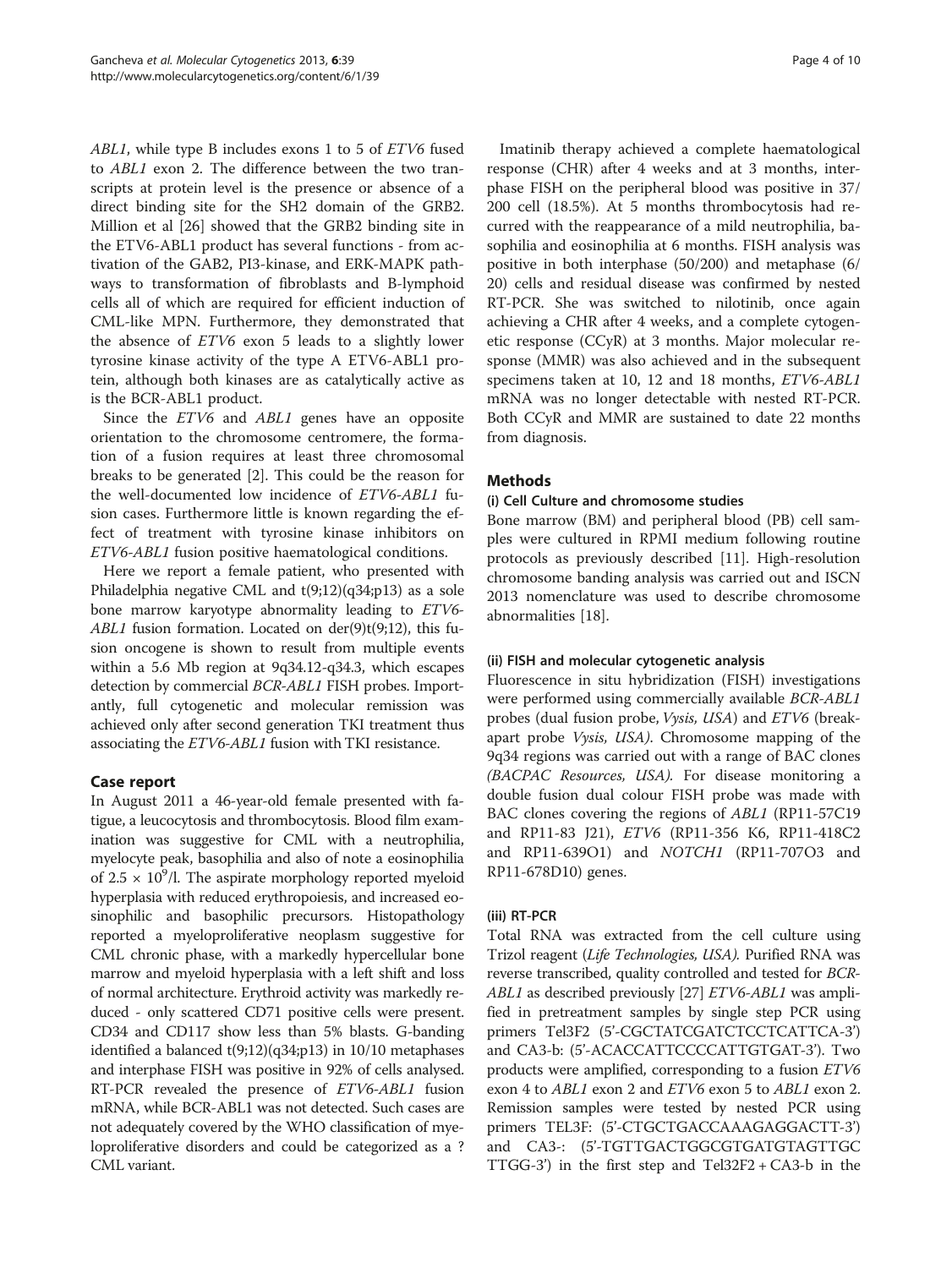ABL1, while type B includes exons 1 to 5 of ETV6 fused to ABL1 exon 2. The difference between the two transcripts at protein level is the presence or absence of a direct binding site for the SH2 domain of the GRB2. Million et al [\[26](#page-8-0)] showed that the GRB2 binding site in the ETV6-ABL1 product has several functions - from activation of the GAB2, PI3-kinase, and ERK-MAPK pathways to transformation of fibroblasts and B-lymphoid cells all of which are required for efficient induction of CML-like MPN. Furthermore, they demonstrated that the absence of ETV6 exon 5 leads to a slightly lower tyrosine kinase activity of the type A ETV6-ABL1 protein, although both kinases are as catalytically active as is the BCR-ABL1 product.

Since the *ETV6* and *ABL1* genes have an opposite orientation to the chromosome centromere, the formation of a fusion requires at least three chromosomal breaks to be generated [[2\]](#page-8-0). This could be the reason for the well-documented low incidence of ETV6-ABL1 fusion cases. Furthermore little is known regarding the effect of treatment with tyrosine kinase inhibitors on ETV6-ABL1 fusion positive haematological conditions.

Here we report a female patient, who presented with Philadelphia negative CML and  $t(9;12)(q34;p13)$  as a sole bone marrow karyotype abnormality leading to ETV6- ABL1 fusion formation. Located on  $der(9)t(9;12)$ , this fusion oncogene is shown to result from multiple events within a 5.6 Mb region at 9q34.12-q34.3, which escapes detection by commercial BCR-ABL1 FISH probes. Importantly, full cytogenetic and molecular remission was achieved only after second generation TKI treatment thus associating the ETV6-ABL1 fusion with TKI resistance.

## Case report

In August 2011 a 46-year-old female presented with fatigue, a leucocytosis and thrombocytosis. Blood film examination was suggestive for CML with a neutrophilia, myelocyte peak, basophilia and also of note a eosinophilia of 2.5  $\times$  10<sup>9</sup>/l. The aspirate morphology reported myeloid hyperplasia with reduced erythropoiesis, and increased eosinophilic and basophilic precursors. Histopathology reported a myeloproliferative neoplasm suggestive for CML chronic phase, with a markedly hypercellular bone marrow and myeloid hyperplasia with a left shift and loss of normal architecture. Erythroid activity was markedly reduced - only scattered CD71 positive cells were present. CD34 and CD117 show less than 5% blasts. G-banding identified a balanced  $t(9;12)(q34;p13)$  in 10/10 metaphases and interphase FISH was positive in 92% of cells analysed. RT-PCR revealed the presence of ETV6-ABL1 fusion mRNA, while BCR-ABL1 was not detected. Such cases are not adequately covered by the WHO classification of myeloproliferative disorders and could be categorized as a ? CML variant.

Imatinib therapy achieved a complete haematological response (CHR) after 4 weeks and at 3 months, interphase FISH on the peripheral blood was positive in 37/ 200 cell (18.5%). At 5 months thrombocytosis had recurred with the reappearance of a mild neutrophilia, basophilia and eosinophilia at 6 months. FISH analysis was positive in both interphase (50/200) and metaphase (6/ 20) cells and residual disease was confirmed by nested RT-PCR. She was switched to nilotinib, once again achieving a CHR after 4 weeks, and a complete cytogenetic response (CCyR) at 3 months. Major molecular response (MMR) was also achieved and in the subsequent specimens taken at 10, 12 and 18 months, ETV6-ABL1 mRNA was no longer detectable with nested RT-PCR. Both CCyR and MMR are sustained to date 22 months from diagnosis.

## **Methods**

#### (i) Cell Culture and chromosome studies

Bone marrow (BM) and peripheral blood (PB) cell samples were cultured in RPMI medium following routine protocols as previously described [[11\]](#page-8-0). High-resolution chromosome banding analysis was carried out and ISCN 2013 nomenclature was used to describe chromosome abnormalities [\[18\]](#page-8-0).

#### (ii) FISH and molecular cytogenetic analysis

Fluorescence in situ hybridization (FISH) investigations were performed using commercially available BCR-ABL1 probes (dual fusion probe, Vysis, USA) and ETV6 (breakapart probe Vysis, USA). Chromosome mapping of the 9q34 regions was carried out with a range of BAC clones (BACPAC Resources, USA). For disease monitoring a double fusion dual colour FISH probe was made with BAC clones covering the regions of ABL1 (RP11-57C19 and RP11-83 J21), ETV6 (RP11-356 K6, RP11-418C2 and RP11-639O1) and NOTCH1 (RP11-707O3 and RP11-678D10) genes.

#### (iii) RT-PCR

Total RNA was extracted from the cell culture using Trizol reagent (Life Technologies, USA). Purified RNA was reverse transcribed, quality controlled and tested for BCR-ABL1 as described previously [\[27\]](#page-8-0) ETV6-ABL1 was amplified in pretreatment samples by single step PCR using primers Tel3F2 (5'-CGCTATCGATCTCCTCATTCA-3') and CA3-b: (5'-ACACCATTCCCCATTGTGAT-3'). Two products were amplified, corresponding to a fusion ETV6 exon 4 to *ABL1* exon 2 and *ETV6* exon 5 to *ABL1* exon 2. Remission samples were tested by nested PCR using primers TEL3F: (5'-CTGCTGACCAAAGAGGACTT-3') and CA3-: (5'-TGTTGACTGGCGTGATGTAGTTGC TTGG-3') in the first step and Tel32F2 + CA3-b in the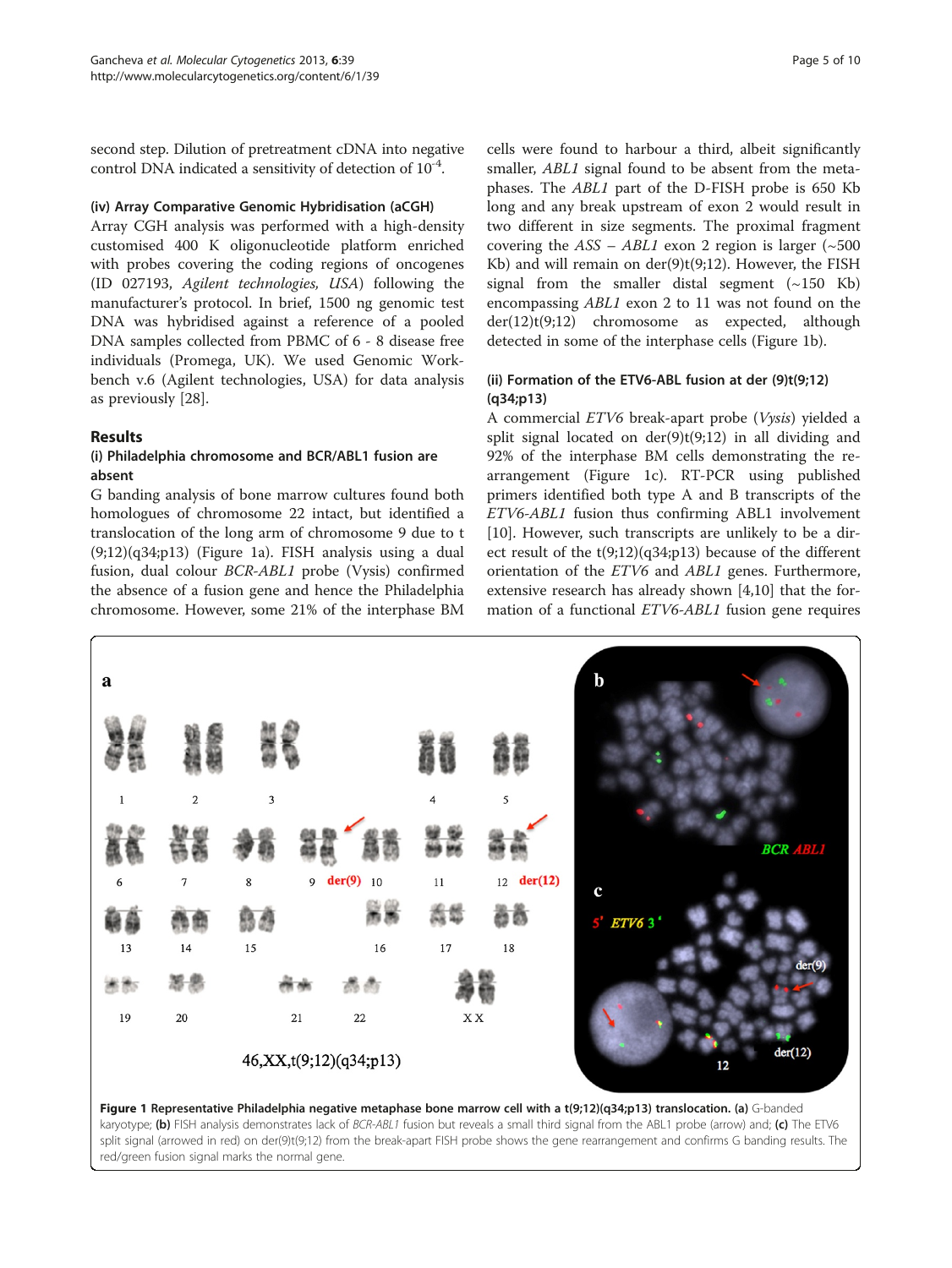<span id="page-4-0"></span>second step. Dilution of pretreatment cDNA into negative control DNA indicated a sensitivity of detection of  $10^{-4}$ .

#### (iv) Array Comparative Genomic Hybridisation (aCGH)

Array CGH analysis was performed with a high-density customised 400 K oligonucleotide platform enriched with probes covering the coding regions of oncogenes (ID 027193, Agilent technologies, USA) following the manufacturer's protocol. In brief, 1500 ng genomic test DNA was hybridised against a reference of a pooled DNA samples collected from PBMC of 6 - 8 disease free individuals (Promega, UK). We used Genomic Workbench v.6 (Agilent technologies, USA) for data analysis as previously [[28](#page-8-0)].

#### Results

#### (i) Philadelphia chromosome and BCR/ABL1 fusion are absent

G banding analysis of bone marrow cultures found both homologues of chromosome 22 intact, but identified a translocation of the long arm of chromosome 9 due to t  $(9;12)(q34;p13)$  (Figure 1a). FISH analysis using a dual fusion, dual colour BCR-ABL1 probe (Vysis) confirmed the absence of a fusion gene and hence the Philadelphia chromosome. However, some 21% of the interphase BM

cells were found to harbour a third, albeit significantly smaller, ABL1 signal found to be absent from the metaphases. The ABL1 part of the D-FISH probe is 650 Kb long and any break upstream of exon 2 would result in two different in size segments. The proximal fragment covering the  $ASS - ABL1$  exon 2 region is larger ( $\sim 500$ ) Kb) and will remain on der(9)t(9;12). However, the FISH signal from the smaller distal segment  $(\sim 150 \text{ Kb})$ encompassing ABL1 exon 2 to 11 was not found on the der(12)t(9;12) chromosome as expected, although detected in some of the interphase cells (Figure 1b).

## (ii) Formation of the ETV6-ABL fusion at der (9)t(9;12) (q34;p13)

A commercial ETV6 break-apart probe (Vysis) yielded a split signal located on  $der(9)t(9;12)$  in all dividing and 92% of the interphase BM cells demonstrating the rearrangement (Figure 1c). RT-PCR using published primers identified both type A and B transcripts of the ETV6-ABL1 fusion thus confirming ABL1 involvement [[10\]](#page-8-0). However, such transcripts are unlikely to be a direct result of the  $t(9;12)(q34;p13)$  because of the different orientation of the ETV6 and ABL1 genes. Furthermore, extensive research has already shown [[4,10\]](#page-8-0) that the formation of a functional ETV6-ABL1 fusion gene requires



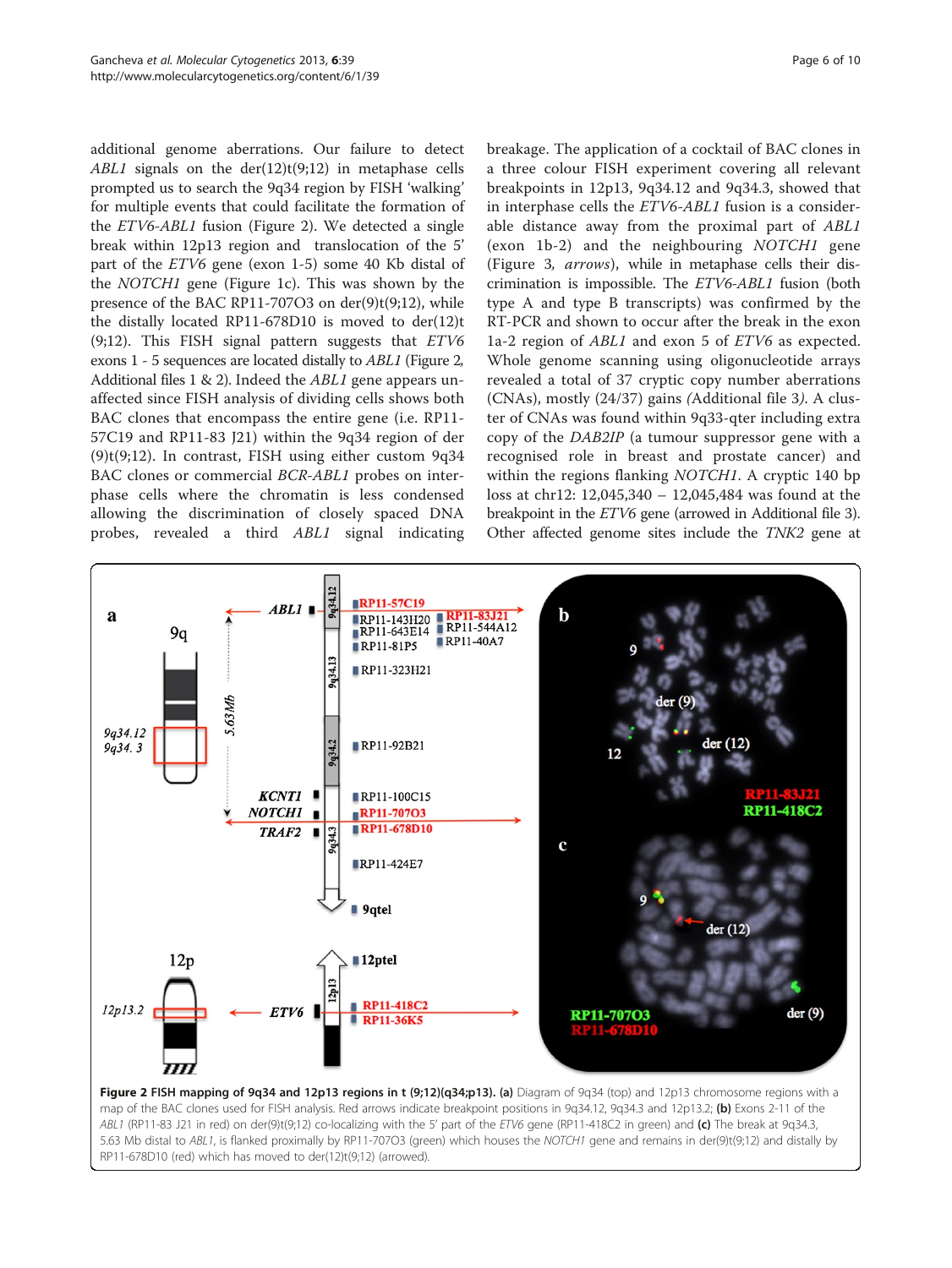<span id="page-5-0"></span>additional genome aberrations. Our failure to detect ABL1 signals on the  $der(12)t(9;12)$  in metaphase cells prompted us to search the 9q34 region by FISH 'walking' for multiple events that could facilitate the formation of the ETV6-ABL1 fusion (Figure 2). We detected a single break within 12p13 region and translocation of the 5' part of the ETV6 gene (exon 1-5) some 40 Kb distal of the NOTCH1 gene (Figure [1](#page-4-0)c). This was shown by the presence of the BAC RP11-707O3 on der(9)t(9;12), while the distally located RP11-678D10 is moved to der(12)t (9;12). This FISH signal pattern suggests that  $ETV6$ exons 1 - 5 sequences are located distally to ABL1 (Figure 2, Additional files [1](#page-8-0) & [2\)](#page-8-0). Indeed the ABL1 gene appears unaffected since FISH analysis of dividing cells shows both BAC clones that encompass the entire gene (i.e. RP11- 57C19 and RP11-83 J21) within the 9q34 region of der (9)t(9;12). In contrast, FISH using either custom 9q34 BAC clones or commercial BCR-ABL1 probes on interphase cells where the chromatin is less condensed allowing the discrimination of closely spaced DNA probes, revealed a third ABL1 signal indicating breakage. The application of a cocktail of BAC clones in a three colour FISH experiment covering all relevant breakpoints in 12p13, 9q34.12 and 9q34.3, showed that in interphase cells the ETV6-ABL1 fusion is a considerable distance away from the proximal part of ABL1 (exon 1b-2) and the neighbouring NOTCH1 gene (Figure [3](#page-6-0), arrows), while in metaphase cells their discrimination is impossible. The ETV6-ABL1 fusion (both type A and type B transcripts) was confirmed by the RT-PCR and shown to occur after the break in the exon 1a-2 region of ABL1 and exon 5 of ETV6 as expected. Whole genome scanning using oligonucleotide arrays revealed a total of 37 cryptic copy number aberrations (CNAs), mostly (24/37) gains (Additional file [3](#page-8-0)). A cluster of CNAs was found within 9q33-qter including extra copy of the DAB2IP (a tumour suppressor gene with a recognised role in breast and prostate cancer) and within the regions flanking NOTCH1. A cryptic 140 bp loss at chr12: 12,045,340 – 12,045,484 was found at the breakpoint in the ETV6 gene (arrowed in Additional file [3](#page-8-0)). Other affected genome sites include the TNK2 gene at



map of the BAC clones used for FISH analysis. Red arrows indicate breakpoint positions in 9q34.12, 9q34.3 and 12p13.2; (b) Exons 2-11 of the ABL1 (RP11-83 J21 in red) on der(9)t(9;12) co-localizing with the 5' part of the ETV6 gene (RP11-418C2 in green) and (c) The break at 9q34.3, 5.63 Mb distal to ABL1, is flanked proximally by RP11-707O3 (green) which houses the NOTCH1 gene and remains in der(9)t(9;12) and distally by RP11-678D10 (red) which has moved to der(12)t(9;12) (arrowed).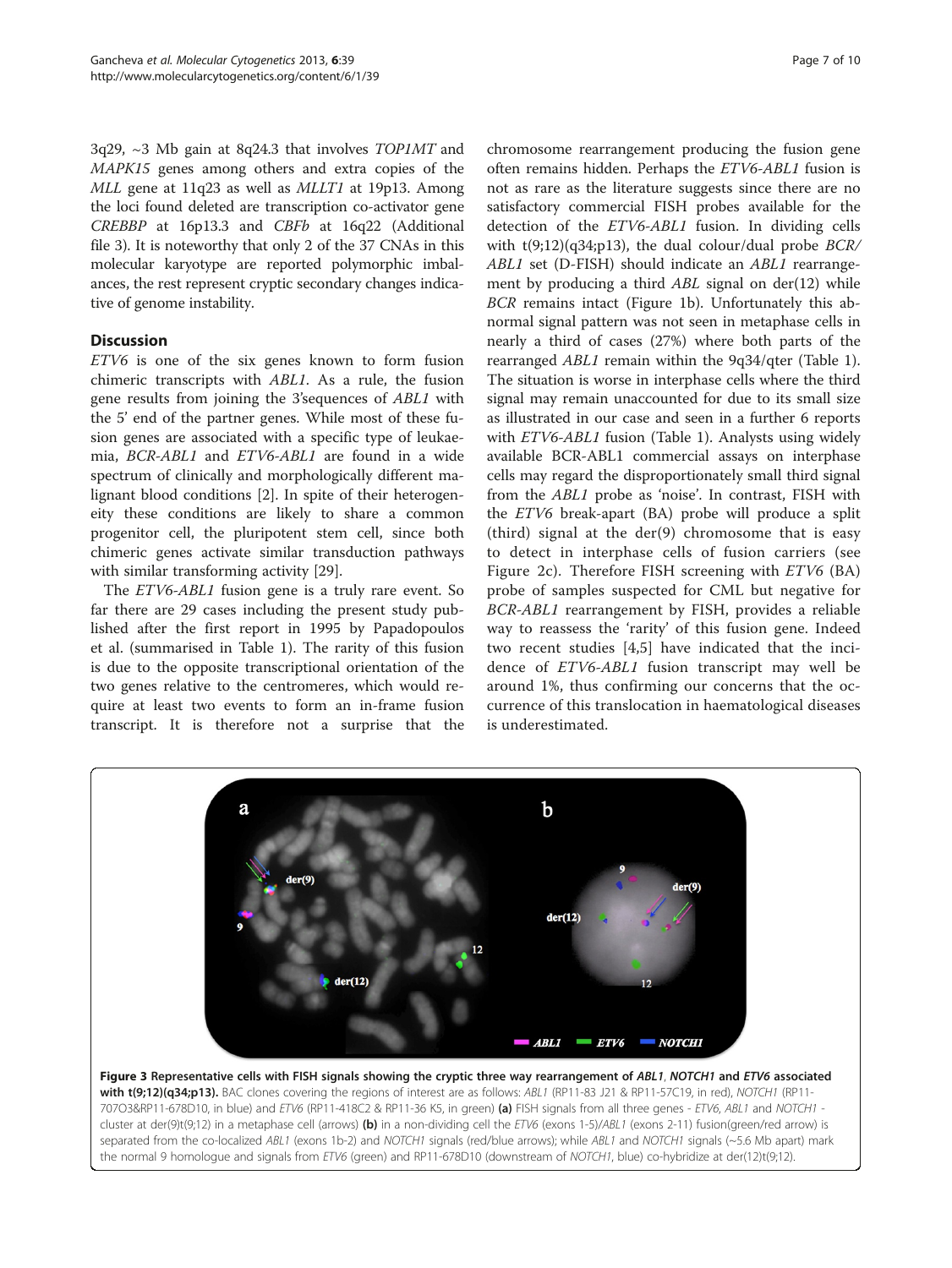<span id="page-6-0"></span> $3q29$ ,  $\sim$ 3 Mb gain at 8q24.3 that involves TOP1MT and MAPK15 genes among others and extra copies of the MLL gene at 11q23 as well as MLLT1 at 19p13. Among the loci found deleted are transcription co-activator gene CREBBP at 16p13.3 and CBFb at 16q22 (Additional file [3\)](#page-8-0). It is noteworthy that only 2 of the 37 CNAs in this molecular karyotype are reported polymorphic imbalances, the rest represent cryptic secondary changes indicative of genome instability.

## **Discussion**

ETV6 is one of the six genes known to form fusion chimeric transcripts with ABL1. As a rule, the fusion gene results from joining the 3'sequences of ABL1 with the 5' end of the partner genes. While most of these fusion genes are associated with a specific type of leukaemia, BCR-ABL1 and ETV6-ABL1 are found in a wide spectrum of clinically and morphologically different malignant blood conditions [\[2](#page-8-0)]. In spite of their heterogeneity these conditions are likely to share a common progenitor cell, the pluripotent stem cell, since both chimeric genes activate similar transduction pathways with similar transforming activity [\[29](#page-9-0)].

The ETV6-ABL1 fusion gene is a truly rare event. So far there are 29 cases including the present study published after the first report in 1995 by Papadopoulos et al. (summarised in Table [1](#page-1-0)). The rarity of this fusion is due to the opposite transcriptional orientation of the two genes relative to the centromeres, which would require at least two events to form an in-frame fusion transcript. It is therefore not a surprise that the

chromosome rearrangement producing the fusion gene often remains hidden. Perhaps the ETV6-ABL1 fusion is not as rare as the literature suggests since there are no satisfactory commercial FISH probes available for the detection of the ETV6-ABL1 fusion. In dividing cells with  $t(9;12)(q34;p13)$ , the dual colour/dual probe  $BCR/$ ABL1 set (D-FISH) should indicate an ABL1 rearrangement by producing a third ABL signal on der(12) while BCR remains intact (Figure [1b](#page-4-0)). Unfortunately this abnormal signal pattern was not seen in metaphase cells in nearly a third of cases (27%) where both parts of the rearranged ABL1 remain within the 9q34/qter (Table [1](#page-1-0)). The situation is worse in interphase cells where the third signal may remain unaccounted for due to its small size as illustrated in our case and seen in a further 6 reports with ETV6-ABL1 fusion (Table [1\)](#page-1-0). Analysts using widely available BCR-ABL1 commercial assays on interphase cells may regard the disproportionately small third signal from the ABL1 probe as 'noise'. In contrast, FISH with the ETV6 break-apart (BA) probe will produce a split (third) signal at the der(9) chromosome that is easy to detect in interphase cells of fusion carriers (see Figure [2](#page-5-0)c). Therefore FISH screening with ETV6 (BA) probe of samples suspected for CML but negative for BCR-ABL1 rearrangement by FISH, provides a reliable way to reassess the 'rarity' of this fusion gene. Indeed two recent studies [[4,5](#page-8-0)] have indicated that the incidence of ETV6-ABL1 fusion transcript may well be around 1%, thus confirming our concerns that the occurrence of this translocation in haematological diseases is underestimated.



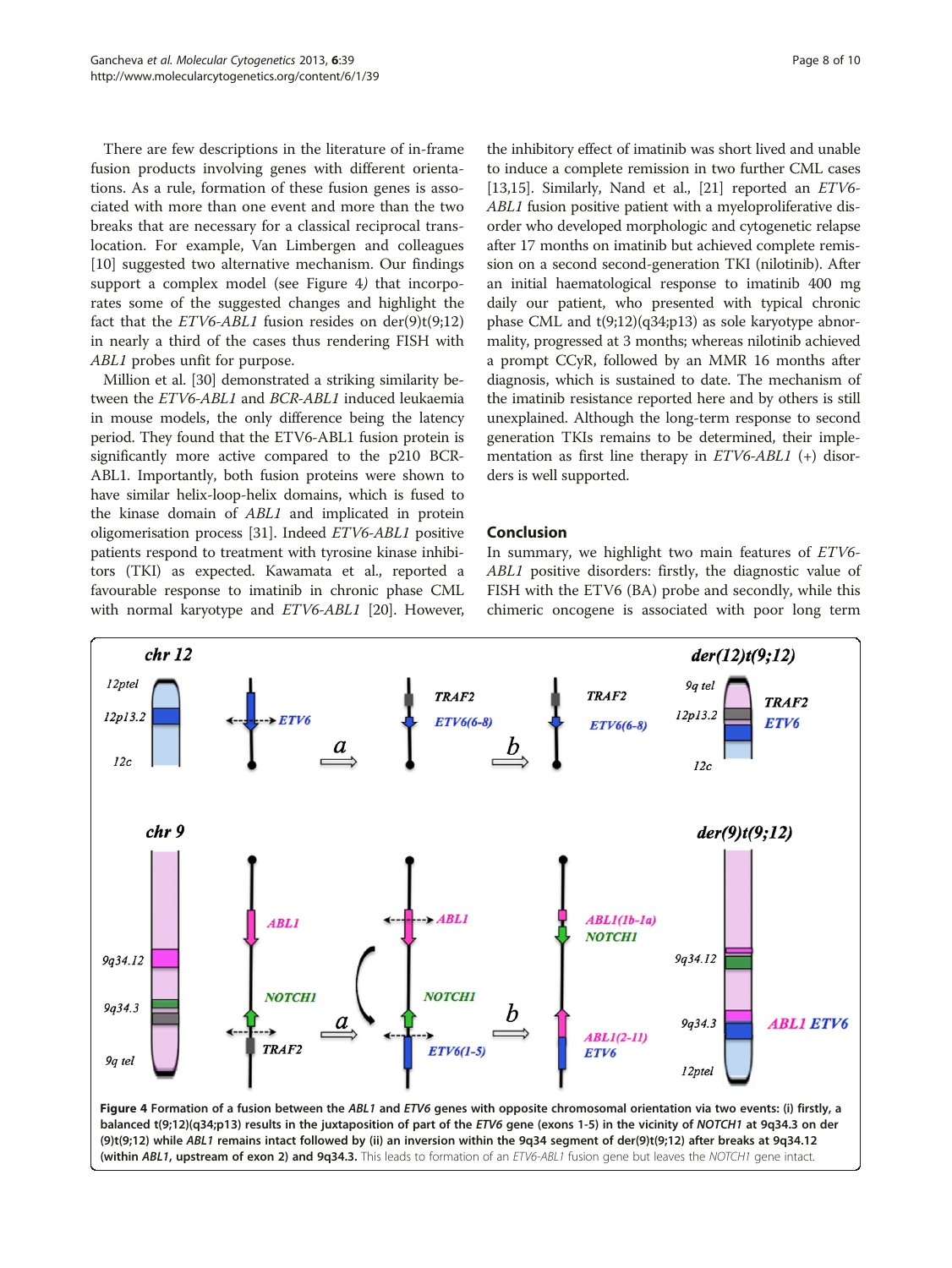There are few descriptions in the literature of in-frame fusion products involving genes with different orientations. As a rule, formation of these fusion genes is associated with more than one event and more than the two breaks that are necessary for a classical reciprocal translocation. For example, Van Limbergen and colleagues [[10\]](#page-8-0) suggested two alternative mechanism. Our findings support a complex model (see Figure 4) that incorporates some of the suggested changes and highlight the fact that the  $ETV6-ABL1$  fusion resides on der(9)t(9;12) in nearly a third of the cases thus rendering FISH with ABL1 probes unfit for purpose.

Million et al. [[30](#page-9-0)] demonstrated a striking similarity between the ETV6-ABL1 and BCR-ABL1 induced leukaemia in mouse models, the only difference being the latency period. They found that the ETV6-ABL1 fusion protein is significantly more active compared to the p210 BCR-ABL1. Importantly, both fusion proteins were shown to have similar helix-loop-helix domains, which is fused to the kinase domain of ABL1 and implicated in protein oligomerisation process [\[31](#page-9-0)]. Indeed ETV6-ABL1 positive patients respond to treatment with tyrosine kinase inhibitors (TKI) as expected. Kawamata et al., reported a favourable response to imatinib in chronic phase CML with normal karyotype and ETV6-ABL1 [\[20](#page-8-0)]. However,

the inhibitory effect of imatinib was short lived and unable to induce a complete remission in two further CML cases [[13,15](#page-8-0)]. Similarly, Nand et al., [\[21\]](#page-8-0) reported an ETV6-ABL1 fusion positive patient with a myeloproliferative disorder who developed morphologic and cytogenetic relapse after 17 months on imatinib but achieved complete remission on a second second-generation TKI (nilotinib). After an initial haematological response to imatinib 400 mg daily our patient, who presented with typical chronic phase CML and  $t(9;12)(q34;p13)$  as sole karyotype abnormality, progressed at 3 months; whereas nilotinib achieved a prompt CCyR, followed by an MMR 16 months after diagnosis, which is sustained to date. The mechanism of the imatinib resistance reported here and by others is still unexplained. Although the long-term response to second generation TKIs remains to be determined, their implementation as first line therapy in  $ETV6-ABLI$  (+) disorders is well supported.

#### Conclusion

In summary, we highlight two main features of ETV6- ABL1 positive disorders: firstly, the diagnostic value of FISH with the ETV6 (BA) probe and secondly, while this chimeric oncogene is associated with poor long term

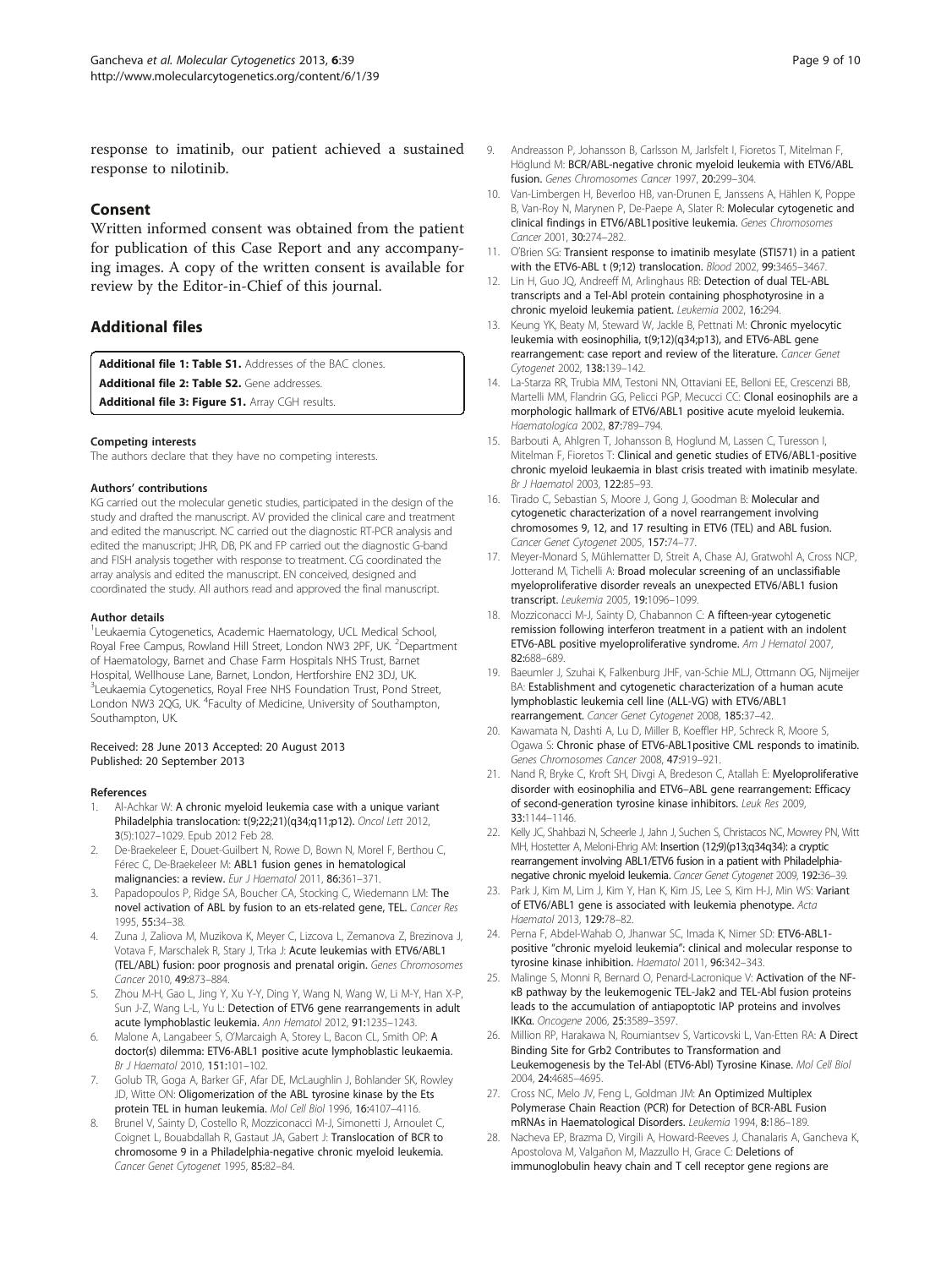<span id="page-8-0"></span>response to imatinib, our patient achieved a sustained response to nilotinib.

#### Consent

Written informed consent was obtained from the patient for publication of this Case Report and any accompanying images. A copy of the written consent is available for review by the Editor-in-Chief of this journal.

#### Additional files

[Additional file 1: Table S1.](http://www.biomedcentral.com/content/supplementary/1755-8166-6-39-S1.pdf) Addresses of the BAC clones.

[Additional file 2: Table S2.](http://www.biomedcentral.com/content/supplementary/1755-8166-6-39-S2.pdf) Gene addresses

[Additional file 3: Figure S1.](http://www.biomedcentral.com/content/supplementary/1755-8166-6-39-S3.png) Array CGH results.

#### Competing interests

The authors declare that they have no competing interests.

#### Authors' contributions

KG carried out the molecular genetic studies, participated in the design of the study and drafted the manuscript. AV provided the clinical care and treatment and edited the manuscript. NC carried out the diagnostic RT-PCR analysis and edited the manuscript; JHR, DB, PK and FP carried out the diagnostic G-band and FISH analysis together with response to treatment. CG coordinated the array analysis and edited the manuscript. EN conceived, designed and coordinated the study. All authors read and approved the final manuscript.

#### Author details

<sup>1</sup>Leukaemia Cytogenetics, Academic Haematology, UCL Medical School, Royal Free Campus, Rowland Hill Street, London NW3 2PF, UK. <sup>2</sup>Department of Haematology, Barnet and Chase Farm Hospitals NHS Trust, Barnet Hospital, Wellhouse Lane, Barnet, London, Hertforshire EN2 3DJ, UK. <sup>3</sup>Leukaemia Cytogenetics, Royal Free NHS Foundation Trust, Pond Street, London NW3 2QG, UK. <sup>4</sup>Faculty of Medicine, University of Southampton, Southampton, UK.

#### Received: 28 June 2013 Accepted: 20 August 2013 Published: 20 September 2013

#### References

- Al-Achkar W: A chronic myeloid leukemia case with a unique variant Philadelphia translocation: t(9;22;21)(q34;q11;p12). Oncol Lett 2012, 3(5):1027–1029. Epub 2012 Feb 28.
- 2. De-Braekeleer E, Douet-Guilbert N, Rowe D, Bown N, Morel F, Berthou C, Férec C, De-Braekeleer M: ABL1 fusion genes in hematological malignancies: a review. Eur J Haematol 2011, 86:361–371.
- Papadopoulos P, Ridge SA, Boucher CA, Stocking C, Wiedemann LM: The novel activation of ABL by fusion to an ets-related gene, TEL. Cancer Res 1995, 55:34–38.
- 4. Zuna J, Zaliova M, Muzikova K, Meyer C, Lizcova L, Zemanova Z, Brezinova J, Votava F, Marschalek R, Stary J, Trka J: Acute leukemias with ETV6/ABL1 (TEL/ABL) fusion: poor prognosis and prenatal origin. Genes Chromosomes Cancer 2010, 49:873–884.
- 5. Zhou M-H, Gao L, Jing Y, Xu Y-Y, Ding Y, Wang N, Wang W, Li M-Y, Han X-P, Sun J-Z, Wang L-L, Yu L: Detection of ETV6 gene rearrangements in adult acute lymphoblastic leukemia. Ann Hematol 2012, 91:1235–1243.
- 6. Malone A, Langabeer S, O'Marcaigh A, Storey L, Bacon CL, Smith OP: A doctor(s) dilemma: ETV6-ABL1 positive acute lymphoblastic leukaemia. Br J Haematol 2010, 151:101–102.
- 7. Golub TR, Goga A, Barker GF, Afar DE, McLaughlin J, Bohlander SK, Rowley JD, Witte ON: Oligomerization of the ABL tyrosine kinase by the Ets protein TEL in human leukemia. Mol Cell Biol 1996, 16:4107–4116.
- Brunel V, Sainty D, Costello R, Mozziconacci M-J, Simonetti J, Arnoulet C, Coignet L, Bouabdallah R, Gastaut JA, Gabert J: Translocation of BCR to chromosome 9 in a Philadelphia-negative chronic myeloid leukemia. Cancer Genet Cytogenet 1995, 85:82–84.
- 9. Andreasson P, Johansson B, Carlsson M, Jarlsfelt I, Fioretos T, Mitelman F, Höglund M: BCR/ABL-negative chronic myeloid leukemia with ETV6/ABL fusion. Genes Chromosomes Cancer 1997, 20:299–304.
- 10. Van-Limbergen H, Beverloo HB, van-Drunen E, Janssens A, Hählen K, Poppe B, Van-Roy N, Marynen P, De-Paepe A, Slater R: Molecular cytogenetic and clinical findings in ETV6/ABL1positive leukemia. Genes Chromosomes Cancer 2001, 30:274–282.
- 11. O'Brien SG: Transient response to imatinib mesylate (STI571) in a patient with the ETV6-ABL t (9;12) translocation. Blood 2002, 99:3465–3467.
- 12. Lin H, Guo JQ, Andreeff M, Arlinghaus RB: Detection of dual TEL-ABL transcripts and a Tel-Abl protein containing phosphotyrosine in a chronic myeloid leukemia patient. Leukemia 2002, 16:294.
- 13. Keung YK, Beaty M, Steward W, Jackle B, Pettnati M: Chronic myelocytic leukemia with eosinophilia, t(9;12)(q34;p13), and ETV6-ABL gene rearrangement: case report and review of the literature. Cancer Genet Cytogenet 2002, 138:139–142.
- 14. La-Starza RR, Trubia MM, Testoni NN, Ottaviani EE, Belloni EE, Crescenzi BB, Martelli MM, Flandrin GG, Pelicci PGP, Mecucci CC: Clonal eosinophils are a morphologic hallmark of ETV6/ABL1 positive acute myeloid leukemia. Haematologica 2002, 87:789–794.
- 15. Barbouti A, Ahlgren T, Johansson B, Hoglund M, Lassen C, Turesson I, Mitelman F, Fioretos T: Clinical and genetic studies of ETV6/ABL1-positive chronic myeloid leukaemia in blast crisis treated with imatinib mesylate. Br J Haematol 2003, 122:85–93.
- 16. Tirado C, Sebastian S, Moore J, Gong J, Goodman B: Molecular and cytogenetic characterization of a novel rearrangement involving chromosomes 9, 12, and 17 resulting in ETV6 (TEL) and ABL fusion. Cancer Genet Cytogenet 2005, 157:74–77.
- 17. Meyer-Monard S, Mühlematter D, Streit A, Chase AJ, Gratwohl A, Cross NCP, Jotterand M, Tichelli A: Broad molecular screening of an unclassifiable myeloproliferative disorder reveals an unexpected ETV6/ABL1 fusion transcript. Leukemia 2005, 19:1096–1099.
- 18. Mozziconacci M-J, Sainty D, Chabannon C: A fifteen-year cytogenetic remission following interferon treatment in a patient with an indolent ETV6-ABL positive myeloproliferative syndrome. Am J Hematol 2007, 82:688–689.
- 19. Baeumler J, Szuhai K, Falkenburg JHF, van-Schie MLJ, Ottmann OG, Nijmeijer BA: Establishment and cytogenetic characterization of a human acute lymphoblastic leukemia cell line (ALL-VG) with ETV6/ABL1 rearrangement. Cancer Genet Cytogenet 2008, 185:37–42.
- 20. Kawamata N, Dashti A, Lu D, Miller B, Koeffler HP, Schreck R, Moore S, Ogawa S: Chronic phase of ETV6-ABL1positive CML responds to imatinib. Genes Chromosomes Cancer 2008, 47:919–921.
- 21. Nand R, Bryke C, Kroft SH, Divgi A, Bredeson C, Atallah E: Myeloproliferative disorder with eosinophilia and ETV6–ABL gene rearrangement: Efficacy of second-generation tyrosine kinase inhibitors. Leuk Res 2009, 33:1144–1146.
- 22. Kelly JC, Shahbazi N, Scheerle J, Jahn J, Suchen S, Christacos NC, Mowrey PN, Witt MH, Hostetter A, Meloni-Ehrig AM: Insertion (12;9)(p13;q34q34): a cryptic rearrangement involving ABL1/ETV6 fusion in a patient with Philadelphianegative chronic myeloid leukemia. Cancer Genet Cytogenet 2009, 192:36–39.
- 23. Park J, Kim M, Lim J, Kim Y, Han K, Kim JS, Lee S, Kim H-J, Min WS: Variant of ETV6/ABL1 gene is associated with leukemia phenotype. Acta Haematol 2013, 129:78–82.
- 24. Perna F, Abdel-Wahab O, Jhanwar SC, Imada K, Nimer SD: ETV6-ABL1positive "chronic myeloid leukemia": clinical and molecular response to tyrosine kinase inhibition. Haematol 2011, 96:342–343.
- 25. Malinge S, Monni R, Bernard O, Penard-Lacronique V: Activation of the NFκB pathway by the leukemogenic TEL-Jak2 and TEL-Abl fusion proteins leads to the accumulation of antiapoptotic IAP proteins and involves IKKα. Oncogene 2006, 25:3589–3597.
- 26. Million RP, Harakawa N, Roumiantsev S, Varticovski L, Van-Etten RA: A Direct Binding Site for Grb2 Contributes to Transformation and Leukemogenesis by the Tel-Abl (ETV6-Abl) Tyrosine Kinase. Mol Cell Biol 2004, 24:4685–4695.
- 27. Cross NC, Melo JV, Feng L, Goldman JM: An Optimized Multiplex Polymerase Chain Reaction (PCR) for Detection of BCR-ABL Fusion mRNAs in Haematological Disorders. Leukemia 1994, 8:186–189.
- 28. Nacheva EP, Brazma D, Virgili A, Howard-Reeves J, Chanalaris A, Gancheva K, Apostolova M, Valgañon M, Mazzullo H, Grace C: Deletions of immunoglobulin heavy chain and T cell receptor gene regions are